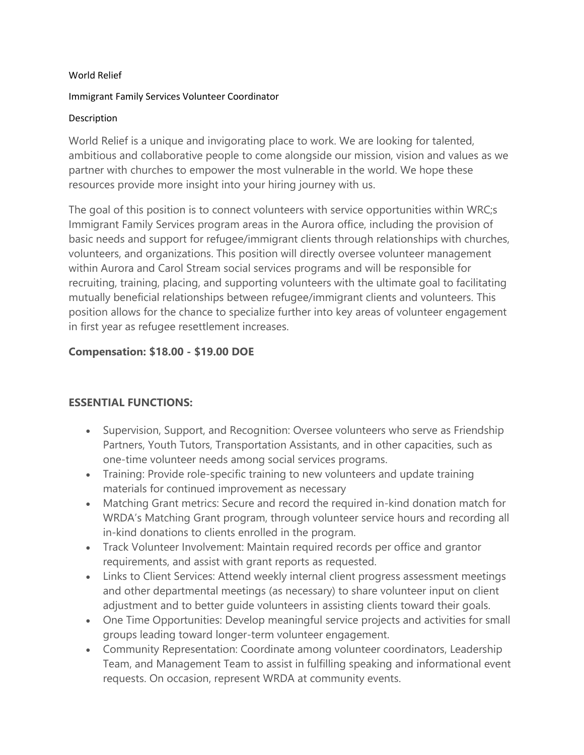#### World Relief

#### Immigrant Family Services Volunteer Coordinator

#### Description

World Relief is a unique and invigorating place to work. We are looking for talented, ambitious and collaborative people to come alongside our mission, vision and values as we partner with churches to empower the most vulnerable in the world. We hope these resources provide more insight into your hiring journey with us.

The goal of this position is to connect volunteers with service opportunities within WRC;s Immigrant Family Services program areas in the Aurora office, including the provision of basic needs and support for refugee/immigrant clients through relationships with churches, volunteers, and organizations. This position will directly oversee volunteer management within Aurora and Carol Stream social services programs and will be responsible for recruiting, training, placing, and supporting volunteers with the ultimate goal to facilitating mutually beneficial relationships between refugee/immigrant clients and volunteers. This position allows for the chance to specialize further into key areas of volunteer engagement in first year as refugee resettlement increases.

## **Compensation: \$18.00 - \$19.00 DOE**

## **ESSENTIAL FUNCTIONS:**

- Supervision, Support, and Recognition: Oversee volunteers who serve as Friendship Partners, Youth Tutors, Transportation Assistants, and in other capacities, such as one-time volunteer needs among social services programs.
- Training: Provide role-specific training to new volunteers and update training materials for continued improvement as necessary
- Matching Grant metrics: Secure and record the required in-kind donation match for WRDA's Matching Grant program, through volunteer service hours and recording all in-kind donations to clients enrolled in the program.
- Track Volunteer Involvement: Maintain required records per office and grantor requirements, and assist with grant reports as requested.
- Links to Client Services: Attend weekly internal client progress assessment meetings and other departmental meetings (as necessary) to share volunteer input on client adjustment and to better guide volunteers in assisting clients toward their goals.
- One Time Opportunities: Develop meaningful service projects and activities for small groups leading toward longer-term volunteer engagement.
- Community Representation: Coordinate among volunteer coordinators, Leadership Team, and Management Team to assist in fulfilling speaking and informational event requests. On occasion, represent WRDA at community events.